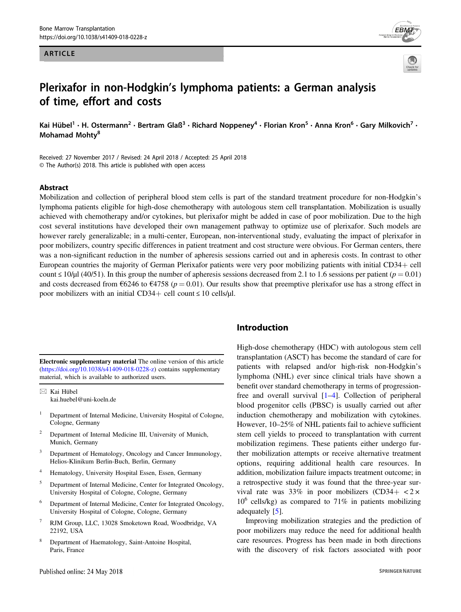### ARTICLE





# Plerixafor in non-Hodgkin's lymphoma patients: a German analysis of time, effort and costs

Kai Hübel<sup>1</sup> • H. Ostermann<sup>2</sup> • Bertram Glaß<sup>3</sup> • Richard Noppeney<sup>4</sup> • Florian Kron<sup>5</sup> • Anna Kron<sup>6</sup> • Gary Milkovich<sup>7</sup> • Mohamad Mohtv<sup>8</sup>

Received: 27 November 2017 / Revised: 24 April 2018 / Accepted: 25 April 2018 © The Author(s) 2018. This article is published with open access

### Abstract

Mobilization and collection of peripheral blood stem cells is part of the standard treatment procedure for non-Hodgkin's lymphoma patients eligible for high-dose chemotherapy with autologous stem cell transplantation. Mobilization is usually achieved with chemotherapy and/or cytokines, but plerixafor might be added in case of poor mobilization. Due to the high cost several institutions have developed their own management pathway to optimize use of plerixafor. Such models are however rarely generalizable; in a multi-center, European, non-interventional study, evaluating the impact of plerixafor in poor mobilizers, country specific differences in patient treatment and cost structure were obvious. For German centers, there was a non-significant reduction in the number of apheresis sessions carried out and in apheresis costs. In contrast to other European countries the majority of German Plerixafor patients were very poor mobilizing patients with initial CD34+ cell count  $\leq 10/\mu$  (40/51). In this group the number of apheresis sessions decreased from 2.1 to 1.6 sessions per patient ( $p = 0.01$ ) and costs decreased from  $6246$  to  $64758$  ( $p = 0.01$ ). Our results show that preemptive plerixafor use has a strong effect in poor mobilizers with an initial CD34+ cell count  $\leq 10$  cells/ $\mu$ l.

Electronic supplementary material The online version of this article (<https://doi.org/10.1038/s41409-018-0228-z>) contains supplementary material, which is available to authorized users.

 $\boxtimes$  Kai Hübel [kai.huebel@uni-koeln.de](mailto:kai.huebel@uni-koeln.de)

- <sup>1</sup> Department of Internal Medicine, University Hospital of Cologne, Cologne, Germany
- <sup>2</sup> Department of Internal Medicine III, University of Munich, Munich, Germany
- Department of Hematology, Oncology and Cancer Immunology, Helios-Klinikum Berlin-Buch, Berlin, Germany
- <sup>4</sup> Hematology, University Hospital Essen, Essen, Germany
- <sup>5</sup> Department of Internal Medicine, Center for Integrated Oncology, University Hospital of Cologne, Cologne, Germany
- <sup>6</sup> Department of Internal Medicine, Center for Integrated Oncology, University Hospital of Cologne, Cologne, Germany
- RJM Group, LLC, 13028 Smoketown Road, Woodbridge, VA 22192, USA
- Department of Haematology, Saint-Antoine Hospital, Paris, France

# Introduction

High-dose chemotherapy (HDC) with autologous stem cell transplantation (ASCT) has become the standard of care for patients with relapsed and/or high-risk non-Hodgkin's lymphoma (NHL) ever since clinical trials have shown a benefit over standard chemotherapy in terms of progressionfree and overall survival [[1](#page-6-0)–[4\]](#page-6-0). Collection of peripheral blood progenitor cells (PBSC) is usually carried out after induction chemotherapy and mobilization with cytokines. However, 10–25% of NHL patients fail to achieve sufficient stem cell yields to proceed to transplantation with current mobilization regimens. These patients either undergo further mobilization attempts or receive alternative treatment options, requiring additional health care resources. In addition, mobilization failure impacts treatment outcome; in a retrospective study it was found that the three-year survival rate was 33% in poor mobilizers (CD34+  $\lt 2 \times$  $10^6$  cells/kg) as compared to 71% in patients mobilizing adequately [[5\]](#page-6-0).

Improving mobilization strategies and the prediction of poor mobilizers may reduce the need for additional health care resources. Progress has been made in both directions with the discovery of risk factors associated with poor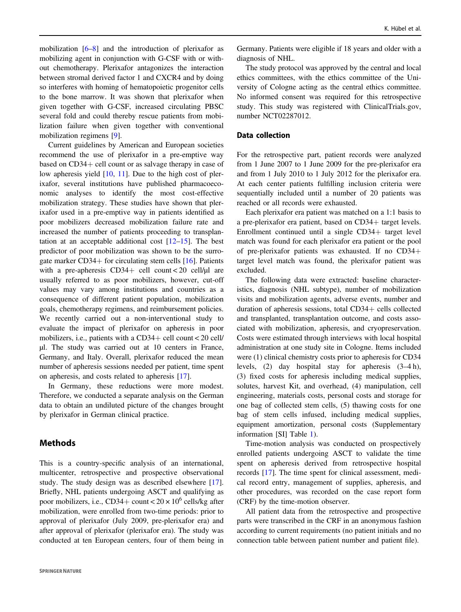mobilization [\[6](#page-6-0)–[8](#page-6-0)] and the introduction of plerixafor as mobilizing agent in conjunction with G-CSF with or without chemotherapy. Plerixafor antagonizes the interaction between stromal derived factor 1 and CXCR4 and by doing so interferes with homing of hematopoietic progenitor cells to the bone marrow. It was shown that plerixafor when given together with G-CSF, increased circulating PBSC several fold and could thereby rescue patients from mobilization failure when given together with conventional mobilization regimens [[9\]](#page-6-0).

Current guidelines by American and European societies recommend the use of plerixafor in a pre-emptive way based on CD34+ cell count or as salvage therapy in case of low apheresis yield [\[10](#page-6-0), [11](#page-6-0)]. Due to the high cost of plerixafor, several institutions have published pharmacoeconomic analyses to identify the most cost-effective mobilization strategy. These studies have shown that plerixafor used in a pre-emptive way in patients identified as poor mobilizers decreased mobilization failure rate and increased the number of patients proceeding to transplantation at an acceptable additional cost [[12](#page-6-0)–[15\]](#page-6-0). The best predictor of poor mobilization was shown to be the surrogate marker  $CD34+$  for circulating stem cells  $[16]$  $[16]$ . Patients with a pre-apheresis  $CD34+$  cell count < 20 cell/ $\mu$ l are usually referred to as poor mobilizers, however, cut-off values may vary among institutions and countries as a consequence of different patient population, mobilization goals, chemotherapy regimens, and reimbursement policies. We recently carried out a non-interventional study to evaluate the impact of plerixafor on apheresis in poor mobilizers, i.e., patients with a CD34+ cell count < 20 cell/ µl. The study was carried out at 10 centers in France, Germany, and Italy. Overall, plerixafor reduced the mean number of apheresis sessions needed per patient, time spent on apheresis, and costs related to apheresis [[17\]](#page-6-0).

In Germany, these reductions were more modest. Therefore, we conducted a separate analysis on the German data to obtain an undiluted picture of the changes brought by plerixafor in German clinical practice.

# **Methods**

This is a country-specific analysis of an international, multicenter, retrospective and prospective observational study. The study design was as described elsewhere [\[17](#page-6-0)]. Briefly, NHL patients undergoing ASCT and qualifying as poor mobilizers, i.e., CD34+ count <  $20 \times 10^6$  cells/kg after mobilization, were enrolled from two-time periods: prior to approval of plerixafor (July 2009, pre-plerixafor era) and after approval of plerixafor (plerixafor era). The study was conducted at ten European centers, four of them being in

Germany. Patients were eligible if 18 years and older with a diagnosis of NHL.

The study protocol was approved by the central and local ethics committees, with the ethics committee of the University of Cologne acting as the central ethics committee. No informed consent was required for this retrospective study. This study was registered with ClinicalTrials.gov, number NCT02287012.

# Data collection

For the retrospective part, patient records were analyzed from 1 June 2007 to 1 June 2009 for the pre-plerixafor era and from 1 July 2010 to 1 July 2012 for the plerixafor era. At each center patients fulfilling inclusion criteria were sequentially included until a number of 20 patients was reached or all records were exhausted.

Each plerixafor era patient was matched on a 1:1 basis to a pre-plerixafor era patient, based on CD34+ target levels. Enrollment continued until a single CD34+ target level match was found for each plerixafor era patient or the pool of pre-plerixafor patients was exhausted. If no CD34+ target level match was found, the plerixafor patient was excluded.

The following data were extracted: baseline characteristics, diagnosis (NHL subtype), number of mobilization visits and mobilization agents, adverse events, number and duration of apheresis sessions, total CD34+ cells collected and transplanted, transplantation outcome, and costs associated with mobilization, apheresis, and cryopreservation. Costs were estimated through interviews with local hospital administration at one study site in Cologne. Items included were (1) clinical chemistry costs prior to apheresis for CD34 levels, (2) day hospital stay for apheresis (3–4 h), (3) fixed costs for apheresis including medical supplies, solutes, harvest Kit, and overhead, (4) manipulation, cell engineering, materials costs, personal costs and storage for one bag of collected stem cells, (5) thawing costs for one bag of stem cells infused, including medical supplies, equipment amortization, personal costs (Supplementary information [SI] Table [1](#page-2-0)).

Time-motion analysis was conducted on prospectively enrolled patients undergoing ASCT to validate the time spent on apheresis derived from retrospective hospital records [[17\]](#page-6-0). The time spent for clinical assessment, medical record entry, management of supplies, apheresis, and other procedures, was recorded on the case report form (CRF) by the time-motion observer.

All patient data from the retrospective and prospective parts were transcribed in the CRF in an anonymous fashion according to current requirements (no patient initials and no connection table between patient number and patient file).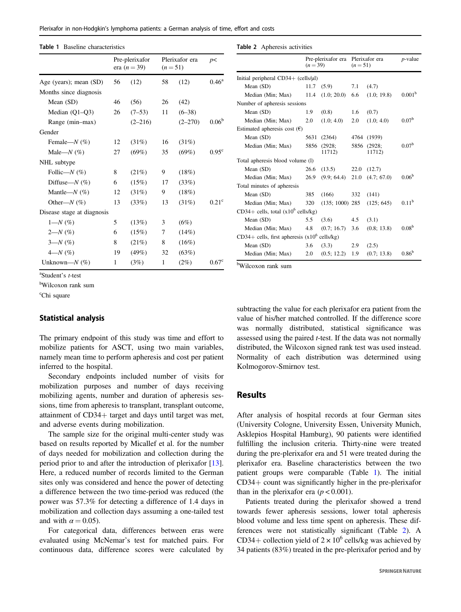<span id="page-2-0"></span>

| Plerixafor in non-Hodgkin's lymphoma patients: a German analysis of time, effort and costs |  |  |  |  |
|--------------------------------------------------------------------------------------------|--|--|--|--|
|                                                                                            |  |  |  |  |

#### Table 1 Baseline characteristics

|                            | Pre-plerixafor<br>era ( <i>n</i> = 39) |             | Plerixafor era<br>$(n=51)$ |             | p<                |
|----------------------------|----------------------------------------|-------------|----------------------------|-------------|-------------------|
| Age (years); mean (SD)     | 56                                     | (12)        | 58                         | (12)        | $0.46^{\rm a}$    |
| Months since diagnosis     |                                        |             |                            |             |                   |
| Mean (SD)                  | 46                                     | (56)        | 26                         | (42)        |                   |
| Median $(Q1-Q3)$           | 26                                     | $(7-53)$    | 11                         | $(6-38)$    |                   |
| Range (min-max)            |                                        | $(2 - 216)$ |                            | $(2 - 270)$ | $0.06^{b}$        |
| Gender                     |                                        |             |                            |             |                   |
| Female- $N$ (%)            | 12                                     | (31%)       | 16                         | (31%)       |                   |
| Male- $N$ (%)              | 27                                     | $(69\%)$    | 35                         | (69%)       | 0.95 <sup>c</sup> |
| NHL subtype                |                                        |             |                            |             |                   |
| Follic— $N$ (%)            | 8                                      | (21%)       | 9                          | (18%)       |                   |
| Diffuse— $N$ (%)           | 6                                      | (15%)       | 17                         | (33%)       |                   |
| Mantle— $N$ (%)            | 12                                     | (31%)       | 9                          | (18%)       |                   |
| Other— $N(\%)$             | 13                                     | (33%)       | 13                         | (31%)       | 0.21 <sup>c</sup> |
| Disease stage at diagnosis |                                        |             |                            |             |                   |
| $1 - N$ (%)                | 5                                      | (13%)       | 3                          | (6%)        |                   |
| $2 - N$ (%)                | 6                                      | (15%)       | 7                          | (14%)       |                   |
| $3 - N$ (%)                | 8                                      | $(21\%)$    | 8                          | (16%)       |                   |
| $4 - N$ (%)                | 19                                     | $(49\%)$    | 32                         | (63%)       |                   |
| Unknown— $N$ (%)           | 1                                      | (3%)        | $\mathbf{1}$               | (2%)        | 0.67 <sup>c</sup> |

Table 2 Apheresis activities

|                                               | $(n=39)$ | Pre-plerixafor era | Plerixafor era<br>$(n=51)$ |                  | $p$ -value         |  |  |  |
|-----------------------------------------------|----------|--------------------|----------------------------|------------------|--------------------|--|--|--|
| Initial peripheral $CD34+$ (cells/ $\mu$ I)   |          |                    |                            |                  |                    |  |  |  |
| Mean (SD)                                     | 11.7     | (5.9)              | 7.1                        | (4.7)            |                    |  |  |  |
| Median (Min; Max)                             | 11.4     | $(1.0; 20.0)$ 6.6  |                            | (1.0; 19.8)      | 0.001 <sup>b</sup> |  |  |  |
| Number of apheresis sessions                  |          |                    |                            |                  |                    |  |  |  |
| Mean (SD)                                     | 1.9      | (0.8)              | 1.6                        | (0.7)            |                    |  |  |  |
| Median (Min; Max)                             | 2.0      | (1.0; 4.0)         | 2.0                        | (1.0; 4.0)       | 0.07 <sup>b</sup>  |  |  |  |
| Estimated apheresis cost $(\epsilon)$         |          |                    |                            |                  |                    |  |  |  |
| Mean (SD)                                     | 5631     | (2364)             | 4764                       | (1939)           |                    |  |  |  |
| Median (Min; Max)                             | 5856     | (2928;<br>11712)   | 5856                       | (2928;<br>11712) | 0.07 <sup>b</sup>  |  |  |  |
| Total apheresis blood volume (1)              |          |                    |                            |                  |                    |  |  |  |
| Mean $(SD)$                                   | 26.6     | (13.5)             | 22.0                       | (12.7)           |                    |  |  |  |
| Median (Min; Max)                             | 26.9     | (9.9; 64.4)        | 21.0                       | (4.7; 67.0)      | 0.06 <sup>b</sup>  |  |  |  |
| Total minutes of apheresis                    |          |                    |                            |                  |                    |  |  |  |
| Mean $(SD)$                                   | 385      | (166)              | 332                        | (141)            |                    |  |  |  |
| Median (Min; Max)                             | 320      | $(135; 1000)$ 285  |                            | (125; 645)       | 0.11 <sup>b</sup>  |  |  |  |
| CD34+ cells, total $(x10^6 \text{ cells/kg})$ |          |                    |                            |                  |                    |  |  |  |
| Mean $(SD)$                                   | 5.5      | (3.6)              | 4.5                        | (3.1)            |                    |  |  |  |
| Median (Min; Max)                             | 4.8      | (0.7; 16.7)        | 3.6                        | (0.8; 13.8)      | 0.08 <sup>b</sup>  |  |  |  |
| CD34+ cells, first apheresis $(x10^6)$        |          | cells/kg)          |                            |                  |                    |  |  |  |
| Mean $(SD)$                                   | 3.6      | (3.3)              | 2.9                        | (2.5)            |                    |  |  |  |
| Median (Min; Max)                             | 2.0      | (0.5; 12.2)        | 1.9                        | (0.7; 13.8)      | $0.86^{b}$         |  |  |  |

 $a^2$ Student's *t*-test

b Wilcoxon rank sum

<sup>c</sup>Chi square

### Statistical analysis

The primary endpoint of this study was time and effort to mobilize patients for ASCT, using two main variables, namely mean time to perform apheresis and cost per patient inferred to the hospital.

Secondary endpoints included number of visits for mobilization purposes and number of days receiving mobilizing agents, number and duration of apheresis sessions, time from apheresis to transplant, transplant outcome, attainment of CD34+ target and days until target was met, and adverse events during mobilization.

The sample size for the original multi-center study was based on results reported by Micallef et al. for the number of days needed for mobilization and collection during the period prior to and after the introduction of plerixafor [\[13](#page-6-0)]. Here, a reduced number of records limited to the German sites only was considered and hence the power of detecting a difference between the two time-period was reduced (the power was 57.3% for detecting a difference of 1.4 days in mobilization and collection days assuming a one-tailed test and with  $\alpha = 0.05$ ).

For categorical data, differences between eras were evaluated using McNemar's test for matched pairs. For continuous data, difference scores were calculated by b Wilcoxon rank sum

subtracting the value for each plerixafor era patient from the value of his/her matched controlled. If the difference score was normally distributed, statistical significance was assessed using the paired t-test. If the data was not normally distributed, the Wilcoxon signed rank test was used instead. Normality of each distribution was determined using Kolmogorov-Smirnov test.

# Results

After analysis of hospital records at four German sites (University Cologne, University Essen, University Munich, Asklepios Hospital Hamburg), 90 patients were identified fulfilling the inclusion criteria. Thirty-nine were treated during the pre-plerixafor era and 51 were treated during the plerixafor era. Baseline characteristics between the two patient groups were comparable (Table 1). The initial CD34+ count was significantly higher in the pre-plerixafor than in the plerixafor era  $(p < 0.001)$ .

Patients treated during the plerixafor showed a trend towards fewer apheresis sessions, lower total apheresis blood volume and less time spent on apheresis. These differences were not statistically significant (Table 2). A CD34+ collection yield of  $2 \times 10^6$  cells/kg was achieved by 34 patients (83%) treated in the pre-plerixafor period and by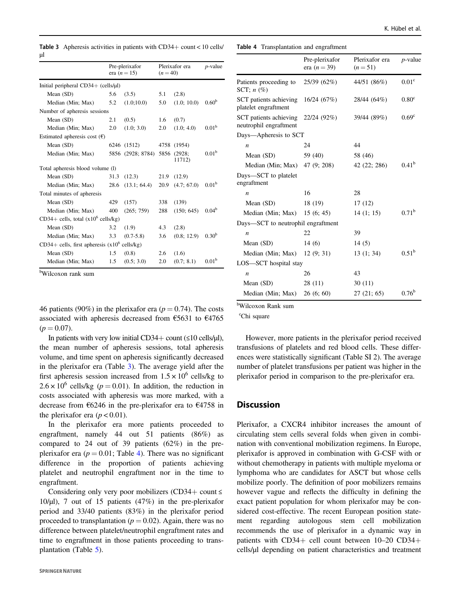Table 3 Apheresis activities in patients with CD34+ count < 10 cells/ µl

|                                                         |                              | Pre-plerixafor<br>era $(n = 15)$ | Plerixafor era<br>$(n = 40)$ |             | $p$ -value        |  |  |  |  |
|---------------------------------------------------------|------------------------------|----------------------------------|------------------------------|-------------|-------------------|--|--|--|--|
| Initial peripheral $CD34+$ (cells/ $\mu$ I)             |                              |                                  |                              |             |                   |  |  |  |  |
| Mean (SD)                                               | 5.6                          | (3.5)                            | 5.1                          | (2.8)       |                   |  |  |  |  |
| Median (Min; Max)                                       | 5.2                          | (1.0;10.0)                       | 5.0                          | (1.0; 10.0) | 0.60 <sup>b</sup> |  |  |  |  |
|                                                         | Number of apheresis sessions |                                  |                              |             |                   |  |  |  |  |
| Mean (SD)                                               | 2.1                          | (0.5)                            | 1.6                          | (0.7)       |                   |  |  |  |  |
| Median (Min; Max)                                       | 2.0                          | (1.0; 3.0)                       | 2.0                          | (1.0; 4.0)  | 0.01 <sup>b</sup> |  |  |  |  |
| Estimated apheresis cost $(\epsilon)$                   |                              |                                  |                              |             |                   |  |  |  |  |
| Mean (SD)                                               |                              | 6246 (1512)                      |                              | 4758 (1954) |                   |  |  |  |  |
| Median (Min; Max)                                       |                              | 5856 (2928; 8784) 5856 (2928;    |                              | 11712)      | 0.01 <sup>b</sup> |  |  |  |  |
| Total apheresis blood volume (1)                        |                              |                                  |                              |             |                   |  |  |  |  |
| Mean $(SD)$                                             | 31.3                         | (12.3)                           | 21.9                         | (12.9)      |                   |  |  |  |  |
| Median (Min; Max)                                       | 28.6                         | (13.1; 64.4)                     | 20.9                         | (4.7; 67.0) | 0.01 <sup>b</sup> |  |  |  |  |
| Total minutes of apheresis                              |                              |                                  |                              |             |                   |  |  |  |  |
| Mean (SD)                                               | 429                          | (157)                            | 338                          | (139)       |                   |  |  |  |  |
| Median (Min; Max)                                       | 400                          | (265; 759)                       | 288                          | (150; 645)  | $0.04^{b}$        |  |  |  |  |
| CD34+ cells, total $(x10^6 \text{ cells/kg})$           |                              |                                  |                              |             |                   |  |  |  |  |
| Mean (SD)                                               | 3.2                          | (1.9)                            | 4.3                          | (2.8)       |                   |  |  |  |  |
| Median (Min; Max)                                       | 3.3                          | $(0.7 - 5.8)$                    | 3.6                          | (0.8; 12.9) | $0.30^{b}$        |  |  |  |  |
| CD34+ cells, first apheresis $(x10^6 \text{ cells/kg})$ |                              |                                  |                              |             |                   |  |  |  |  |
| Mean (SD)                                               | 1.5                          | (0.8)                            | 2.6                          | (1.6)       |                   |  |  |  |  |
| Median (Min; Max)                                       | 1.5                          | (0.5; 3.0)                       | 2.0                          | (0.7; 8.1)  | 0.01 <sup>b</sup> |  |  |  |  |

b Wilcoxon rank sum

46 patients (90%) in the plerixafor era ( $p = 0.74$ ). The costs associated with apheresis decreased from  $\epsilon$ 5631 to  $\epsilon$ 4765  $(p = 0.07)$ .

In patients with very low initial CD34+ count  $(\leq 10 \text{ cells/µl})$ , the mean number of apheresis sessions, total apheresis volume, and time spent on apheresis significantly decreased in the plerixafor era (Table 3). The average yield after the first apheresis session increased from  $1.5 \times 10^6$  cells/kg to  $2.6 \times 10^6$  cells/kg ( $p = 0.01$ ). In addition, the reduction in costs associated with apheresis was more marked, with a decrease from €6246 in the pre-plerixafor era to €4758 in the plerixafor era  $(p < 0.01)$ .

In the plerixafor era more patients proceeded to engraftment, namely 44 out 51 patients (86%) as compared to 24 out of 39 patients (62%) in the preplerixafor era ( $p = 0.01$ ; Table 4). There was no significant difference in the proportion of patients achieving platelet and neutrophil engraftment nor in the time to engraftment.

Considering only very poor mobilizers (CD34+ count  $\leq$ 10/µl), 7 out of 15 patients (47%) in the pre-plerixafor period and 33/40 patients (83%) in the plerixafor period proceeded to transplantation ( $p = 0.02$ ). Again, there was no difference between platelet/neutrophil engraftment rates and time to engraftment in those patients proceeding to transplantation (Table [5\)](#page-4-0).

Table 4 Transplantation and engraftment

|                                                                | Pre-plerixafor<br>era $(n = 39)$ | Plerixafor era<br>$(n=51)$ | $p$ -value        |
|----------------------------------------------------------------|----------------------------------|----------------------------|-------------------|
| Patients proceeding to<br>SCT; $n$ (%)                         | 25/39(62%)                       | 44/51 (86%)                | 0.01 <sup>c</sup> |
| SCT patients achieving 16/24 (67%)<br>platelet engraftment     |                                  | 28/44 (64%)                | 0.80 <sup>c</sup> |
| SCT patients achieving $22/24$ (92%)<br>neutrophil engraftment |                                  | 39/44 (89%)                | 0.69 <sup>c</sup> |
| Days—Apheresis to SCT                                          |                                  |                            |                   |
| $\boldsymbol{n}$                                               | 24                               | 44                         |                   |
| Mean (SD)                                                      | 59 (40)                          | 58 (46)                    |                   |
| Median (Min; Max) 47 (9; 208)                                  |                                  | 42 (22; 286)               | $0.41^{b}$        |
| Days—SCT to platelet<br>engraftment                            |                                  |                            |                   |
| n                                                              | 16                               | 28                         |                   |
| Mean $(SD)$                                                    | 18(19)                           | 17(12)                     |                   |
| Median (Min; Max) $15(6; 45)$                                  |                                  | 14(1; 15)                  | $0.71^{b}$        |
| Days—SCT to neutrophil engraftment                             |                                  |                            |                   |
| $\boldsymbol{n}$                                               | 22                               | 39                         |                   |
| Mean (SD)                                                      | 14(6)                            | 14(5)                      |                   |
| Median (Min; Max)                                              | 12(9; 31)                        | 13(1; 34)                  | $0.51^{b}$        |
| LOS-SCT hospital stay                                          |                                  |                            |                   |
| $\boldsymbol{n}$                                               | 26                               | 43                         |                   |
| Mean (SD)                                                      | 28(11)                           | 30(11)                     |                   |
| Median (Min; Max)                                              | 26(6; 60)                        | 27(21; 65)                 | $0.76^{b}$        |

b Wilcoxon Rank sum

<sup>c</sup>Chi square

However, more patients in the plerixafor period received transfusions of platelets and red blood cells. These differences were statistically significant (Table SI 2). The average number of platelet transfusions per patient was higher in the plerixafor period in comparison to the pre-plerixafor era.

# **Discussion**

Plerixafor, a CXCR4 inhibitor increases the amount of circulating stem cells several folds when given in combination with conventional mobilization regimens. In Europe, plerixafor is approved in combination with G-CSF with or without chemotherapy in patients with multiple myeloma or lymphoma who are candidates for ASCT but whose cells mobilize poorly. The definition of poor mobilizers remains however vague and reflects the difficulty in defining the exact patient population for whom plerixafor may be considered cost-effective. The recent European position statement regarding autologous stem cell mobilization recommends the use of plerixafor in a dynamic way in patients with CD34+ cell count between 10–20 CD34+ cells/µl depending on patient characteristics and treatment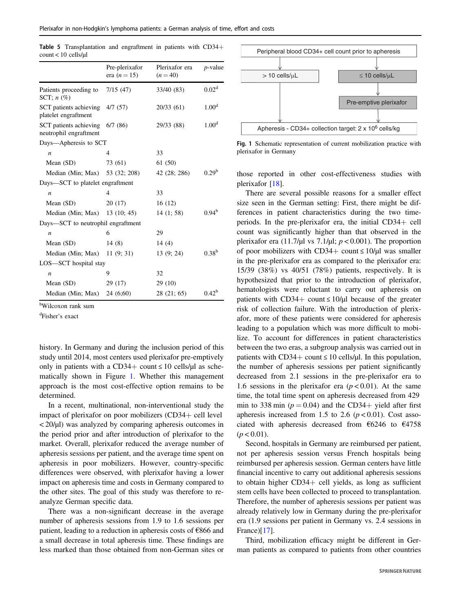|                                                           | Pre-plerixafor<br>era $(n = 15)$ | Plerixafor era<br>$(n = 40)$ | $p$ -value        |
|-----------------------------------------------------------|----------------------------------|------------------------------|-------------------|
| Patients proceeding to 7/15 (47)<br>SCT: $n$ (%)          |                                  | 33/40 (83)                   | 0.02 <sup>d</sup> |
| SCT patients achieving 4/7 (57)<br>platelet engraftment   |                                  | 20/33 (61)                   | 1.00 <sup>d</sup> |
| SCT patients achieving 6/7 (86)<br>neutrophil engraftment |                                  | 29/33 (88)                   | 1.00 <sup>d</sup> |
| Days—Apheresis to SCT                                     |                                  |                              |                   |
| $\boldsymbol{n}$                                          | $\overline{4}$                   | 33                           |                   |
| Mean (SD)                                                 | 73 (61)                          | 61(50)                       |                   |
| Median (Min; Max) 53 (32; 208)                            |                                  | 42 (28; 286)                 | $0.29^b$          |
| Days—SCT to platelet engraftment                          |                                  |                              |                   |
| $\boldsymbol{n}$                                          | 4                                | 33                           |                   |
| Mean $(SD)$                                               | 20(17)                           | 16(12)                       |                   |
| Median (Min; Max) 13 (10; 45)                             |                                  | 14(1; 58)                    | $0.94^{\rm b}$    |
| Days—SCT to neutrophil engraftment                        |                                  |                              |                   |
| $\boldsymbol{n}$                                          | 6                                | 29                           |                   |
| Mean (SD)                                                 | 14(8)                            | 14 $(4)$                     |                   |
| Median (Min; Max) $11$ (9; 31)                            |                                  | 13(9; 24)                    | $0.38^{b}$        |
| LOS-SCT hospital stay                                     |                                  |                              |                   |
| $\boldsymbol{n}$                                          | 9                                | 32                           |                   |
| Mean (SD)                                                 | 29 (17)                          | 29(10)                       |                   |
| Median (Min; Max)                                         | 24 (6;60)                        | 28 (21; 65)                  | $0.42^b$          |

<span id="page-4-0"></span>Table 5 Transplantation and engraftment in patients with CD34+ count < 10 cells/µl

b Wilcoxon rank sum

d Fisher's exact

history. In Germany and during the inclusion period of this study until 2014, most centers used plerixafor pre-emptively only in patients with a CD34+ count  $\leq 10$  cells/ $\mu$ l as schematically shown in Figure 1. Whether this management approach is the most cost-effective option remains to be determined.

In a recent, multinational, non-interventional study the impact of plerixafor on poor mobilizers (CD34+ cell level < 20/µl) was analyzed by comparing apheresis outcomes in the period prior and after introduction of plerixafor to the market. Overall, plerixafor reduced the average number of apheresis sessions per patient, and the average time spent on apheresis in poor mobilizers. However, country-specific differences were observed, with plerixafor having a lower impact on apheresis time and costs in Germany compared to the other sites. The goal of this study was therefore to reanalyze German specific data.

There was a non-significant decrease in the average number of apheresis sessions from 1.9 to 1.6 sessions per patient, leading to a reduction in apheresis costs of €866 and a small decrease in total apheresis time. These findings are less marked than those obtained from non-German sites or



Fig. 1 Schematic representation of current mobilization practice with plerixafor in Germany

those reported in other cost-effectiveness studies with plerixafor [\[18](#page-6-0)].

There are several possible reasons for a smaller effect size seen in the German setting: First, there might be differences in patient characteristics during the two timeperiods. In the pre-plerixafor era, the initial CD34+ cell count was significantly higher than that observed in the plerixafor era (11.7/ $\mu$ l vs 7.1/ $\mu$ l;  $p < 0.001$ ). The proportion of poor mobilizers with CD34+ count  $\leq 10/\mu$ l was smaller in the pre-plerixafor era as compared to the plerixafor era: 15/39 (38%) vs 40/51 (78%) patients, respectively. It is hypothesized that prior to the introduction of plerixafor, hematologists were reluctant to carry out apheresis on patients with CD34+ count  $\leq 10/\mu l$  because of the greater risk of collection failure. With the introduction of plerixafor, more of these patients were considered for apheresis leading to a population which was more difficult to mobilize. To account for differences in patient characteristics between the two eras, a subgroup analysis was carried out in patients with  $CD34+$  count  $\leq 10$  cells/ $\mu$ l. In this population, the number of apheresis sessions per patient significantly decreased from 2.1 sessions in the pre-plerixafor era to 1.6 sessions in the plerixafor era  $(p < 0.01)$ . At the same time, the total time spent on apheresis decreased from 429 min to 338 min ( $p = 0.04$ ) and the CD34+ yield after first apheresis increased from 1.5 to 2.6  $(p < 0.01)$ . Cost associated with apheresis decreased from €6246 to €4758  $(p < 0.01)$ .

Second, hospitals in Germany are reimbursed per patient, not per apheresis session versus French hospitals being reimbursed per apheresis session. German centers have little financial incentive to carry out additional apheresis sessions to obtain higher CD34+ cell yields, as long as sufficient stem cells have been collected to proceed to transplantation. Therefore, the number of apheresis sessions per patient was already relatively low in Germany during the pre-plerixafor era (1.9 sessions per patient in Germany vs. 2.4 sessions in France)[\[17](#page-6-0)].

Third, mobilization efficacy might be different in German patients as compared to patients from other countries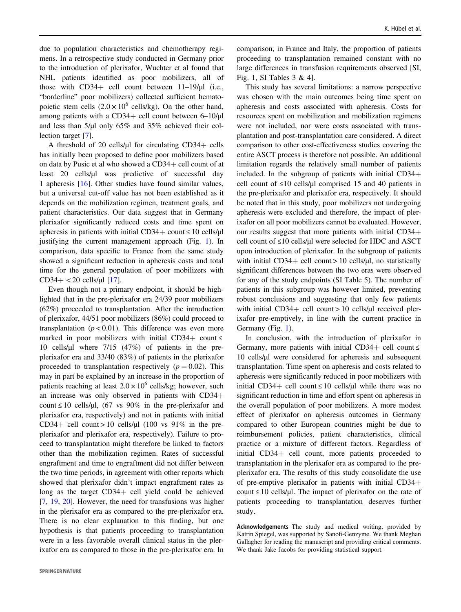due to population characteristics and chemotherapy regimens. In a retrospective study conducted in Germany prior to the introduction of plerixafor, Wuchter et al found that NHL patients identified as poor mobilizers, all of those with  $CD34+$  cell count between  $11-19/\mu l$  (i.e., "borderline" poor mobilizers) collected sufficient hematopoietic stem cells  $(2.0 \times 10^6 \text{ cells/kg})$ . On the other hand, among patients with a  $CD34+$  cell count between 6–10/ $\mu$ l and less than 5/µl only 65% and 35% achieved their collection target [\[7](#page-6-0)].

A threshold of 20 cells/µl for circulating CD34+ cells has initially been proposed to define poor mobilizers based on data by Pusic et al who showed a CD34+ cell count of at least 20 cells/µl was predictive of successful day 1 apheresis [[16\]](#page-6-0). Other studies have found similar values, but a universal cut-off value has not been established as it depends on the mobilization regimen, treatment goals, and patient characteristics. Our data suggest that in Germany plerixafor significantly reduced costs and time spent on apheresis in patients with initial CD34+ count  $\leq 10$  cells/ $\mu$ l justifying the current management approach (Fig. [1](#page-4-0)). In comparison, data specific to France from the same study showed a significant reduction in apheresis costs and total time for the general population of poor mobilizers with  $CD34+ < 20$  cells/µl [[17\]](#page-6-0).

Even though not a primary endpoint, it should be highlighted that in the pre-plerixafor era 24/39 poor mobilizers (62%) proceeded to transplantation. After the introduction of plerixafor, 44/51 poor mobilizers (86%) could proceed to transplantation ( $p < 0.01$ ). This difference was even more marked in poor mobilizers with initial CD34+ count  $\leq$ 10 cells/µl where 7/15 (47%) of patients in the preplerixafor era and 33/40 (83%) of patients in the plerixafor proceeded to transplantation respectively  $(p = 0.02)$ . This may in part be explained by an increase in the proportion of patients reaching at least  $2.0 \times 10^6$  cells/kg; however, such an increase was only observed in patients with CD34+ count  $\leq 10$  cells/ $\mu$ l, (67 vs 90% in the pre-plerixafor and plerixafor era, respectively) and not in patients with initial CD34+ cell count > 10 cells/ $\mu$ l (100 vs 91% in the preplerixafor and plerixafor era, respectively). Failure to proceed to transplantation might therefore be linked to factors other than the mobilization regimen. Rates of successful engraftment and time to engraftment did not differ between the two time periods, in agreement with other reports which showed that plerixafor didn't impact engraftment rates as long as the target CD34+ cell yield could be achieved [\[7](#page-6-0), [19](#page-6-0), [20\]](#page-6-0). However, the need for transfusions was higher in the plerixafor era as compared to the pre-plerixafor era. There is no clear explanation to this finding, but one hypothesis is that patients proceeding to transplantation were in a less favorable overall clinical status in the plerixafor era as compared to those in the pre-plerixafor era. In

comparison, in France and Italy, the proportion of patients proceeding to transplantation remained constant with no large differences in transfusion requirements observed [SI, Fig. 1, SI Tables 3 & 4].

This study has several limitations: a narrow perspective was chosen with the main outcomes being time spent on apheresis and costs associated with apheresis. Costs for resources spent on mobilization and mobilization regimens were not included, nor were costs associated with transplantation and post-transplantation care considered. A direct comparison to other cost-effectiveness studies covering the entire ASCT process is therefore not possible. An additional limitation regards the relatively small number of patients included. In the subgroup of patients with initial CD34+ cell count of ≤10 cells/µl comprised 15 and 40 patients in the pre-plerixafor and plerixafor era, respectively. It should be noted that in this study, poor mobilizers not undergoing apheresis were excluded and therefore, the impact of plerixafor on all poor mobilizers cannot be evaluated. However, our results suggest that more patients with initial CD34+ cell count of ≤10 cells/µl were selected for HDC and ASCT upon introduction of plerixafor. In the subgroup of patients with initial  $CD34+$  cell count  $> 10$  cells/ $\mu$ l, no statistically significant differences between the two eras were observed for any of the study endpoints (SI Table 5). The number of patients in this subgroup was however limited, preventing robust conclusions and suggesting that only few patients with initial  $CD34+$  cell count  $> 10$  cells/ $\mu$ l received plerixafor pre-emptively, in line with the current practice in Germany (Fig. [1](#page-4-0)).

In conclusion, with the introduction of plerixafor in Germany, more patients with initial CD34+ cell count  $\leq$ 10 cells/µl were considered for apheresis and subsequent transplantation. Time spent on apheresis and costs related to apheresis were significantly reduced in poor mobilizers with initial CD34+ cell count  $\leq 10$  cells/ $\mu$ l while there was no significant reduction in time and effort spent on apheresis in the overall population of poor mobilizers. A more modest effect of plerixafor on apheresis outcomes in Germany compared to other European countries might be due to reimbursement policies, patient characteristics, clinical practice or a mixture of different factors. Regardless of initial CD34+ cell count, more patients proceeded to transplantation in the plerixafor era as compared to the preplerixafor era. The results of this study consolidate the use of pre-emptive plerixafor in patients with initial CD34+ count  $\leq 10$  cells/ $\mu$ l. The impact of plerixafor on the rate of patients proceeding to transplantation deserves further study.

Acknowledgements The study and medical writing, provided by Katrin Spiegel, was supported by Sanofi-Genzyme. We thank Meghan Gallagher for reading the manuscript and providing critical comments. We thank Jake Jacobs for providing statistical support.